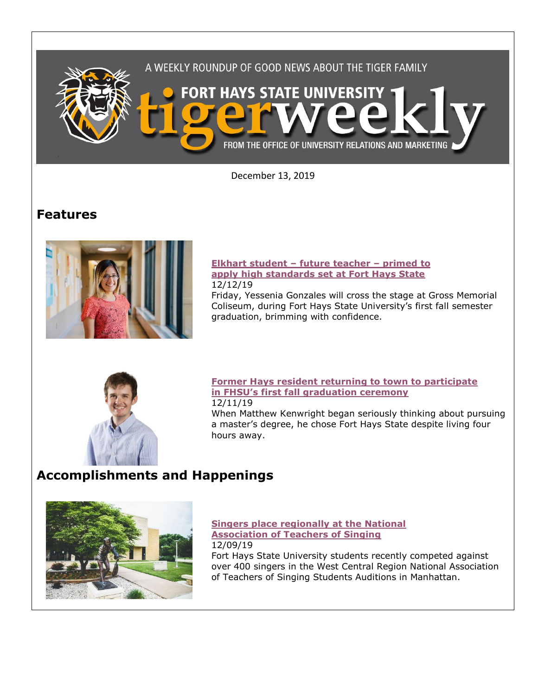

December 13, 2019

# **Features**



### **[Elkhart student](https://www.fhsu.edu/news/2019/12/elkhart-student-future-teacher-primed-to-apply-high-standards-set-at-fort-hays-state) – future teacher – primed to [apply high standards set at Fort Hays State](https://www.fhsu.edu/news/2019/12/elkhart-student-future-teacher-primed-to-apply-high-standards-set-at-fort-hays-state)** 12/12/19

Friday, Yessenia Gonzales will cross the stage at Gross Memorial Coliseum, during Fort Hays State University's first fall semester graduation, brimming with confidence.



## **[Former Hays resident returning to town to participate](https://www.fhsu.edu/news/2019/12/former-hays-resident-returning-to-town-to-participate-in-fort-hays-states-first-fall-graduation-ceremony)  in FHSU['s first fall graduation ceremony](https://www.fhsu.edu/news/2019/12/former-hays-resident-returning-to-town-to-participate-in-fort-hays-states-first-fall-graduation-ceremony)** 12/11/19

When Matthew Kenwright began seriously thinking about pursuing a master's degree, he chose Fort Hays State despite living four hours away.

# **Accomplishments and Happenings**



**[Singers place regionally at the National](https://www.fhsu.edu/news/2019/12/fhsu-singers-place-regionally-at-the-national-association-of-teachers-of-singing)  [Association of Teachers of Singing](https://www.fhsu.edu/news/2019/12/fhsu-singers-place-regionally-at-the-national-association-of-teachers-of-singing)** 12/09/19

Fort Hays State University students recently competed against over 400 singers in the West Central Region National Association of Teachers of Singing Students Auditions in Manhattan.